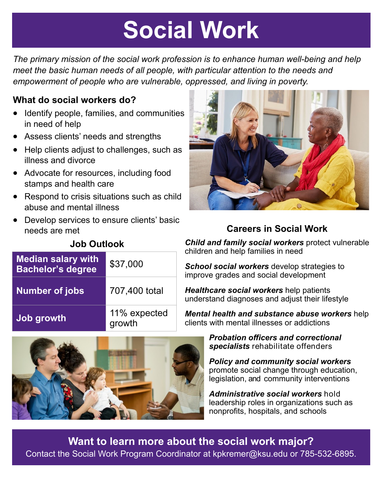# **Social Work**

### **What do social workers do?**

- Identify people, families, and communities in need of help
- Assess clients' needs and strengths
- Help clients adjust to challenges, such as illness and divorce
- Advocate for resources, including food stamps and health care
- Respond to crisis situations such as child abuse and mental illness
- Develop services to ensure clients' basic needs are met

| <b>Median salary with</b><br>Bachelor's degree | \$37,000      |
|------------------------------------------------|---------------|
| <b>Number of jobs</b>                          | 707,400 total |

### **[Job growth](https://www.bls.gov/ooh/community-and-social-service/social-workers.htm#TB_inline?height=325&width=325&inlineId=qf-outlook)** 11% expected growth



## **Careers in Social Work**

*Child and family social workers* protect vulnerable children and help families in need

*School social workers* develop strategies to improve grades and social development

*Healthcare social workers* help patients understand diagnoses and adjust their lifestyle

*Mental health and substance abuse workers* help clients with mental illnesses or addictions



*Probation officers and correctional specialists* rehabilitate offenders

*Policy and community social workers*  promote social change through education, legislation, and community interventions

*Administrative social workers* hold leadership roles in organizations such as nonprofits, hospitals, and schools

**Want to learn more about the social work major?**  Contact the Social Work Program Coordinator at kpkremer@ksu.edu or 785-532-6895.

*The primary mission of the social work profession is to enhance human well-being and help meet the basic human needs of all people, with particular attention to the needs and empowerment of people who are vulnerable, oppressed, and living in poverty.*

### **Job Outlook**